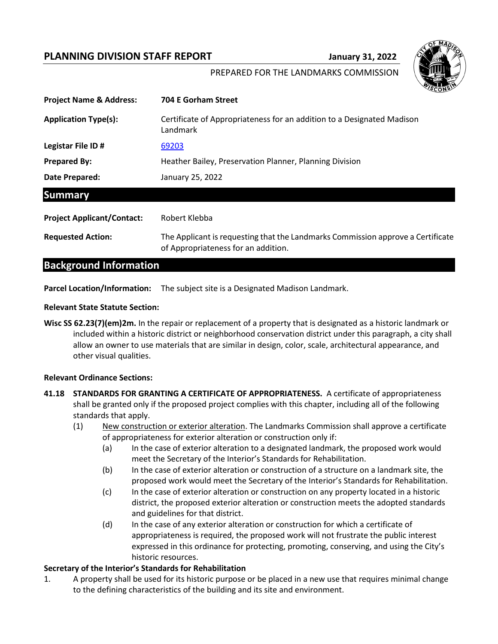### **PLANNING DIVISION STAFF REPORT FRAME STATE STATE STATE STATE STATE STATE**



#### PREPARED FOR THE LANDMARKS COMMISSION

| <b>Project Name &amp; Address:</b> | <b>704 E Gorham Street</b>                                                                                             |
|------------------------------------|------------------------------------------------------------------------------------------------------------------------|
| <b>Application Type(s):</b>        | Certificate of Appropriateness for an addition to a Designated Madison<br>Landmark                                     |
| Legistar File ID#                  | 69203                                                                                                                  |
| <b>Prepared By:</b>                | Heather Bailey, Preservation Planner, Planning Division                                                                |
| Date Prepared:                     | January 25, 2022                                                                                                       |
| <b>Summary</b>                     |                                                                                                                        |
| <b>Project Applicant/Contact:</b>  | Robert Klebba                                                                                                          |
| <b>Requested Action:</b>           | The Applicant is requesting that the Landmarks Commission approve a Certificate<br>of Appropriateness for an addition. |

# **Background Information**

**Parcel Location/Information:** The subject site is a Designated Madison Landmark.

#### **Relevant State Statute Section:**

**Wisc SS 62.23(7)(em)2m.** In the repair or replacement of a property that is designated as a historic landmark or included within a historic district or neighborhood conservation district under this paragraph, a city shall allow an owner to use materials that are similar in design, color, scale, architectural appearance, and other visual qualities.

#### **Relevant Ordinance Sections:**

- **41.18 STANDARDS FOR GRANTING A CERTIFICATE OF APPROPRIATENESS.** A certificate of appropriateness shall be granted only if the proposed project complies with this chapter, including all of the following standards that apply.
	- (1) New construction or exterior alteration. The Landmarks Commission shall approve a certificate of appropriateness for exterior alteration or construction only if:
		- (a) In the case of exterior alteration to a designated landmark, the proposed work would meet the Secretary of the Interior's Standards for Rehabilitation.
		- (b) In the case of exterior alteration or construction of a structure on a landmark site, the proposed work would meet the Secretary of the Interior's Standards for Rehabilitation.
		- (c) In the case of exterior alteration or construction on any property located in a historic district, the proposed exterior alteration or construction meets the adopted standards and guidelines for that district.
		- (d) In the case of any exterior alteration or construction for which a certificate of appropriateness is required, the proposed work will not frustrate the public interest expressed in this ordinance for protecting, promoting, conserving, and using the City's historic resources.

#### **Secretary of the Interior's Standards for Rehabilitation**

1. A property shall be used for its historic purpose or be placed in a new use that requires minimal change to the defining characteristics of the building and its site and environment.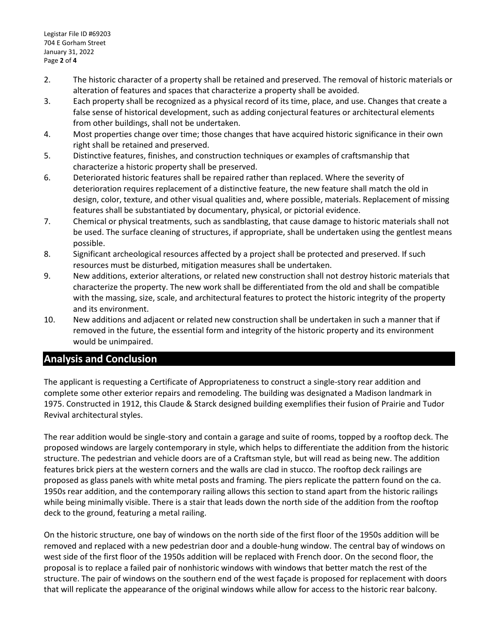- 2. The historic character of a property shall be retained and preserved. The removal of historic materials or alteration of features and spaces that characterize a property shall be avoided.
- 3. Each property shall be recognized as a physical record of its time, place, and use. Changes that create a false sense of historical development, such as adding conjectural features or architectural elements from other buildings, shall not be undertaken.
- 4. Most properties change over time; those changes that have acquired historic significance in their own right shall be retained and preserved.
- 5. Distinctive features, finishes, and construction techniques or examples of craftsmanship that characterize a historic property shall be preserved.
- 6. Deteriorated historic features shall be repaired rather than replaced. Where the severity of deterioration requires replacement of a distinctive feature, the new feature shall match the old in design, color, texture, and other visual qualities and, where possible, materials. Replacement of missing features shall be substantiated by documentary, physical, or pictorial evidence.
- 7. Chemical or physical treatments, such as sandblasting, that cause damage to historic materials shall not be used. The surface cleaning of structures, if appropriate, shall be undertaken using the gentlest means possible.
- 8. Significant archeological resources affected by a project shall be protected and preserved. If such resources must be disturbed, mitigation measures shall be undertaken.
- 9. New additions, exterior alterations, or related new construction shall not destroy historic materials that characterize the property. The new work shall be differentiated from the old and shall be compatible with the massing, size, scale, and architectural features to protect the historic integrity of the property and its environment.
- 10. New additions and adjacent or related new construction shall be undertaken in such a manner that if removed in the future, the essential form and integrity of the historic property and its environment would be unimpaired.

## **Analysis and Conclusion**

The applicant is requesting a Certificate of Appropriateness to construct a single-story rear addition and complete some other exterior repairs and remodeling. The building was designated a Madison landmark in 1975. Constructed in 1912, this Claude & Starck designed building exemplifies their fusion of Prairie and Tudor Revival architectural styles.

The rear addition would be single-story and contain a garage and suite of rooms, topped by a rooftop deck. The proposed windows are largely contemporary in style, which helps to differentiate the addition from the historic structure. The pedestrian and vehicle doors are of a Craftsman style, but will read as being new. The addition features brick piers at the western corners and the walls are clad in stucco. The rooftop deck railings are proposed as glass panels with white metal posts and framing. The piers replicate the pattern found on the ca. 1950s rear addition, and the contemporary railing allows this section to stand apart from the historic railings while being minimally visible. There is a stair that leads down the north side of the addition from the rooftop deck to the ground, featuring a metal railing.

On the historic structure, one bay of windows on the north side of the first floor of the 1950s addition will be removed and replaced with a new pedestrian door and a double-hung window. The central bay of windows on west side of the first floor of the 1950s addition will be replaced with French door. On the second floor, the proposal is to replace a failed pair of nonhistoric windows with windows that better match the rest of the structure. The pair of windows on the southern end of the west façade is proposed for replacement with doors that will replicate the appearance of the original windows while allow for access to the historic rear balcony.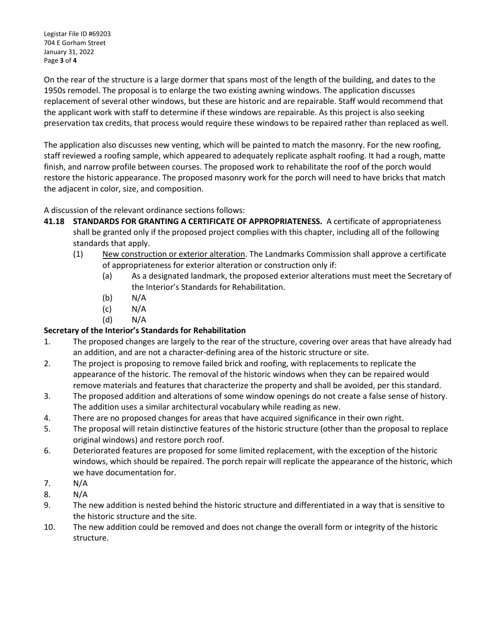Legistar File ID #69203 704 E Gorham Street January 31, 2022 Page **3** of **4**

On the rear of the structure is a large dormer that spans most of the length of the building, and dates to the 1950s remodel. The proposal is to enlarge the two existing awning windows. The application discusses replacement of several other windows, but these are historic and are repairable. Staff would recommend that the applicant work with staff to determine if these windows are repairable. As this project is also seeking preservation tax credits, that process would require these windows to be repaired rather than replaced as well.

The application also discusses new venting, which will be painted to match the masonry. For the new roofing, staff reviewed a roofing sample, which appeared to adequately replicate asphalt roofing. It had a rough, matte finish, and narrow profile between courses. The proposed work to rehabilitate the roof of the porch would restore the historic appearance. The proposed masonry work for the porch will need to have bricks that match the adjacent in color, size, and composition.

A discussion of the relevant ordinance sections follows:

- **41.18 STANDARDS FOR GRANTING A CERTIFICATE OF APPROPRIATENESS.** A certificate of appropriateness shall be granted only if the proposed project complies with this chapter, including all of the following standards that apply.
	- (1) New construction or exterior alteration. The Landmarks Commission shall approve a certificate of appropriateness for exterior alteration or construction only if:
		- (a) As a designated landmark, the proposed exterior alterations must meet the Secretary of the Interior's Standards for Rehabilitation.
		- (b) N/A
		- $(C)$  N/A
		- (d) N/A

### **Secretary of the Interior's Standards for Rehabilitation**

- 1. The proposed changes are largely to the rear of the structure, covering over areas that have already had an addition, and are not a character-defining area of the historic structure or site.
- 2. The project is proposing to remove failed brick and roofing, with replacements to replicate the appearance of the historic. The removal of the historic windows when they can be repaired would remove materials and features that characterize the property and shall be avoided, per this standard.
- 3. The proposed addition and alterations of some window openings do not create a false sense of history. The addition uses a similar architectural vocabulary while reading as new.
- 4. There are no proposed changes for areas that have acquired significance in their own right.
- 5. The proposal will retain distinctive features of the historic structure (other than the proposal to replace original windows) and restore porch roof.
- 6. Deteriorated features are proposed for some limited replacement, with the exception of the historic windows, which should be repaired. The porch repair will replicate the appearance of the historic, which we have documentation for.
- 7. N/A
- 8. N/A
- 9. The new addition is nested behind the historic structure and differentiated in a way that is sensitive to the historic structure and the site.
- 10. The new addition could be removed and does not change the overall form or integrity of the historic structure.